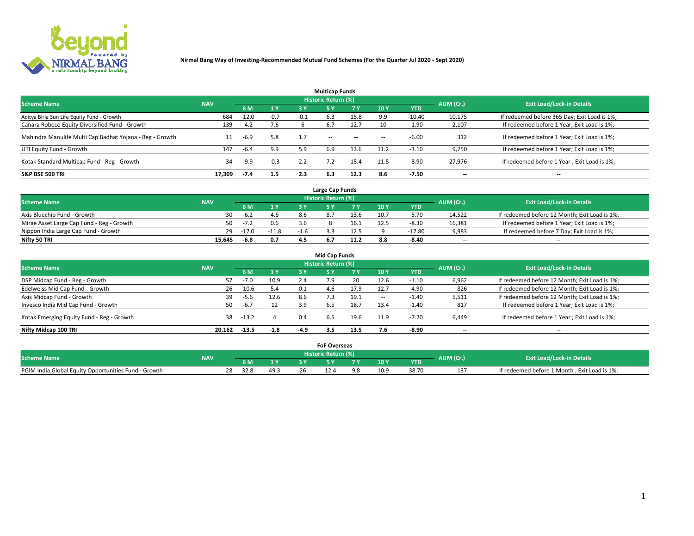

|                                                          |            |         |        |        | <b>Multicap Funds</b> |           |        |            |           |                                              |
|----------------------------------------------------------|------------|---------|--------|--------|-----------------------|-----------|--------|------------|-----------|----------------------------------------------|
| <b>Scheme Name</b>                                       | <b>NAV</b> |         |        |        | Historic Return (%)   |           |        |            | AUM (Cr.) | <b>Exit Load/Lock-in Details</b>             |
|                                                          |            | 6 M     | 1 Y    | 3 Y    | <b>5Y</b>             | <b>7Y</b> | 10Y    | <b>YTD</b> |           |                                              |
| Aditya Birla Sun Life Equity Fund - Growth               | 684        | $-12.0$ | $-0.7$ | $-0.1$ | 6.3                   | 15.8      | 9.9    | $-10.40$   | 10,175    | If redeemed before 365 Day; Exit Load is 1%; |
| Canara Robeco Equity Diversified Fund - Growth           | 139        | $-4.2$  | 7.6    |        | 6.7                   | 12.7      | 10     | $-1.90$    | 2,107     | If redeemed before 1 Year; Exit Load is 1%;  |
| Mahindra Manulife Multi Cap Badhat Yojana - Reg - Growth | 11         | -6.9    | 5.8    | 1.7    | $\sim$ $-$            | $\sim$    | $\sim$ | $-6.00$    | 312       | If redeemed before 1 Year; Exit Load is 1%;  |
| UTI Equity Fund - Growth                                 | 147        | $-6.4$  | 9.9    | 5.9    | 6.9                   | 13.6      | 11.2   | $-3.10$    | 9,750     | If redeemed before 1 Year; Exit Load is 1%;  |
| Kotak Standard Multicap Fund - Reg - Growth              | 34         | $-9.9$  | $-0.3$ | 2.2    |                       | 15.4      | 11.5   | $-8.90$    | 27.976    | If redeemed before 1 Year; Exit Load is 1%;  |
| <b>S&amp;P BSE 500 TRI</b>                               | 17.309     | $-7.4$  | 1.5    | 2.3    | 6.3                   | 12.3      | 8.6    | $-7.50$    | --        | $- -$                                        |

|                                           |            |         |         |        | Large Cap Funds     |      |      |            |                          |                                               |
|-------------------------------------------|------------|---------|---------|--------|---------------------|------|------|------------|--------------------------|-----------------------------------------------|
| <b>Scheme Name</b>                        | <b>NAV</b> |         |         |        | Historic Return (%) |      |      |            | AUM (Cr.)                | <b>Exit Load/Lock-in Details</b>              |
|                                           |            | 6 M     | 4V      |        |                     |      | 10 Y | <b>YTD</b> |                          |                                               |
| Axis Bluechip Fund - Growth               | 30.        | $-6.2$  | 4.6     | 8.6    |                     | 13.6 | 10.7 | $-5.70$    | 14,522                   | If redeemed before 12 Month; Exit Load is 1%; |
| Mirae Asset Large Cap Fund - Reg - Growth | 50         | $-7.2$  | 0.6     |        |                     | 16.1 | 12.5 | $-8.30$    | 16,381                   | If redeemed before 1 Year; Exit Load is 1%;   |
| Nippon India Large Cap Fund - Growth      | 29         | $-17.0$ | $-11.8$ | $-1.6$ |                     | 12.5 |      | $-17.80$   | 9,983                    | If redeemed before 7 Day; Exit Load is 1%;    |
| Nifty 50 TRI                              | 15.645     | -6.8    | 0.7     |        |                     |      |      | $-8.40$    | $\overline{\phantom{a}}$ | $- -$                                         |

|                                           |            |         |        |        | <b>Mid Cap Funds</b>       |      |      |            |                          |                                               |
|-------------------------------------------|------------|---------|--------|--------|----------------------------|------|------|------------|--------------------------|-----------------------------------------------|
| <b>Scheme Name</b>                        | <b>NAV</b> |         |        |        | <b>Historic Return (%)</b> |      |      |            | AUM (Cr.)                | <b>Exit Load/Lock-in Details</b>              |
|                                           |            | 6 M     | 1Y     | 3 Y    |                            | 7 V. | 10Y  | <b>YTD</b> |                          |                                               |
| DSP Midcap Fund - Reg - Growth            |            | $-7.0$  | 10.9   | 2.4    | 7.9                        | 20   | 12.6 | $-1.10$    | 6,962                    | If redeemed before 12 Month; Exit Load is 1%; |
| Edelweiss Mid Cap Fund - Growth           | 26         | $-10.6$ | 5.4    | 0.1    | 4.6                        | 17.9 | 12.7 | $-4.90$    | 826                      | If redeemed before 12 Month; Exit Load is 1%; |
| Axis Midcap Fund - Growth                 | 39         | -5.6    | 12.6   | 8.6    |                            | 19.1 |      | $-1.40$    | 5,511                    | If redeemed before 12 Month; Exit Load is 1%; |
| Invesco India Mid Cap Fund - Growth       | 50         | $-6.7$  | 12     | 3.9    | 6.5                        | 18.7 | 13.4 | $-1.40$    | 817                      | If redeemed before 1 Year; Exit Load is 1%;   |
| Kotak Emerging Equity Fund - Reg - Growth | 38         | $-13.2$ |        | 0.4    | 6.5                        | 19.6 | 11.9 | $-7.20$    | 6,449                    | If redeemed before 1 Year; Exit Load is 1%;   |
| Nifty Midcap 100 TRI                      | 20.162     | $-13.5$ | $-1.8$ | $-4.9$ | 3.5                        | 13.5 |      | $-8.90$    | $\overline{\phantom{a}}$ | $\overline{\phantom{a}}$                      |

|                                                      |            |      |      | <b>FoF Overseas</b> |     |            |           |                                              |
|------------------------------------------------------|------------|------|------|---------------------|-----|------------|-----------|----------------------------------------------|
| <b>Scheme Name</b>                                   | <b>NAV</b> |      |      | Historic Return (%) |     |            | AUM (Cr.) | <b>Exit Load/Lock-in Details</b>             |
|                                                      |            | 6 M  | 1Y   |                     | 10Y | <b>YTD</b> |           |                                              |
| PGIM India Global Equity Opportunities Fund - Growth |            | 32.8 | 49.3 |                     |     | 38.70      |           | If redeemed before 1 Month; Exit Load is 1%; |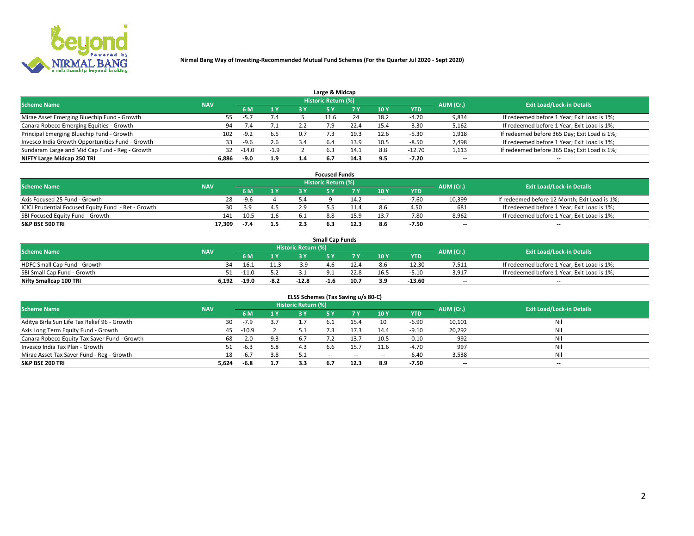

|                                                  |            |         |        |     | Large & Midcap             |      |      |          |                          |                                              |
|--------------------------------------------------|------------|---------|--------|-----|----------------------------|------|------|----------|--------------------------|----------------------------------------------|
| <b>Scheme Name</b>                               | <b>NAV</b> |         |        |     | <b>Historic Return (%)</b> |      |      |          | AUM (Cr.)                | <b>Exit Load/Lock-in Details</b>             |
|                                                  |            | 6 M     | 1Y     | 3 Y |                            | 7 V  | 10Y  | YTD      |                          |                                              |
| Mirae Asset Emerging Bluechip Fund - Growth      | 55         | $-5.7$  | 7.4    |     | 11.6                       | 24   | 18.2 | -4.70    | 9,834                    | If redeemed before 1 Year; Exit Load is 1%;  |
| Canara Robeco Emerging Equities - Growth         | 94         |         |        |     |                            | 22.4 | 15.4 | $-3.30$  | 5,162                    | If redeemed before 1 Year; Exit Load is 1%;  |
| Principal Emerging Bluechip Fund - Growth        | 102        | $-9.2$  | 6.5    | 0.7 |                            | 19.3 | 12.6 | $-5.30$  | 1,918                    | If redeemed before 365 Day; Exit Load is 1%; |
| Invesco India Growth Opportunities Fund - Growth | 33         | $-9.6$  | 2.6    |     | 6.4                        | 13.9 | 10.5 | $-8.50$  | 2,498                    | If redeemed before 1 Year; Exit Load is 1%;  |
| Sundaram Large and Mid Cap Fund - Reg - Growth   | 32         | $-14.0$ | $-1.9$ |     | 6.3                        | 14.1 | 8.8  | $-12.70$ | 1,113                    | If redeemed before 365 Day; Exit Load is 1%; |
| NIFTY Large Midcap 250 TRI                       | 6.886      | $-9.0$  | 1.9    |     |                            | 14.3 |      | -7.20    | $\overline{\phantom{a}}$ | $- -$                                        |

|                                                     |            |         |     |     | <b>Focused Funds</b>       |      |                          |            |                          |                                               |
|-----------------------------------------------------|------------|---------|-----|-----|----------------------------|------|--------------------------|------------|--------------------------|-----------------------------------------------|
| <b>Scheme Name</b>                                  | <b>NAV</b> |         |     |     | <b>Historic Return (%)</b> |      |                          |            | AUM (Cr.)                | <b>Exit Load/Lock-in Details</b>              |
|                                                     |            | 6 M     | 1 Y |     |                            |      | 10Y                      | <b>YTD</b> |                          |                                               |
| Axis Focused 25 Fund - Growth                       | 28         | $-9.6$  |     | 5.4 |                            | 14.2 | $\overline{\phantom{a}}$ | $-7.60$    | 10,399                   | If redeemed before 12 Month; Exit Load is 1%; |
| ICICI Prudential Focused Equity Fund - Ret - Growth | 30         | 3.9     | 4.5 |     |                            |      |                          | 4.50       | 681                      | If redeemed before 1 Year; Exit Load is 1%;   |
| SBI Focused Equity Fund - Growth                    | 141        | $-10.5$ | 1.b |     | 8.8                        | 15.9 |                          | $-7.80$    | 8,962                    | If redeemed before 1 Year; Exit Load is 1%;   |
| <b>S&amp;P BSE 500 TRI</b>                          | 17.309     | -7.4    | 1.5 |     |                            | 12.3 |                          | $-7.50$    | $\overline{\phantom{a}}$ | $- -$                                         |

| <b>Small Cap Funds</b>       |            |         |         |                     |      |      |                 |            |           |                                             |  |  |  |
|------------------------------|------------|---------|---------|---------------------|------|------|-----------------|------------|-----------|---------------------------------------------|--|--|--|
| <b>Scheme Name</b>           | <b>NAV</b> |         |         | Historic Return (%) |      |      |                 |            | AUM (Cr.) | <b>Exit Load/Lock-in Details</b>            |  |  |  |
|                              |            | 6 M     | 1 Y     |                     |      |      | 10 <sub>Y</sub> | <b>YTD</b> |           |                                             |  |  |  |
| HDFC Small Cap Fund - Growth | 34         | $-16.1$ | $-11.3$ |                     | 4.6  |      | 8.6             | -12.30     | 7,511     | If redeemed before 1 Year; Exit Load is 1%; |  |  |  |
| SBI Small Cap Fund - Growth  |            | $-11.0$ |         |                     |      | 22.8 |                 | $-5.10$    | 3.917     | If redeemed before 1 Year; Exit Load is 1%; |  |  |  |
| Nifty Smallcap 100 TRI       | 6,192      | $-19.0$ | $-8.2$  | $-12.8$             | -1.6 | 10.7 |                 | -13.60     | $- -$     | $- -$                                       |  |  |  |

| ELSS Schemes (Tax Saving u/s 80-C)           |            |         |                |                            |           |        |                          |            |                          |                                  |  |  |  |
|----------------------------------------------|------------|---------|----------------|----------------------------|-----------|--------|--------------------------|------------|--------------------------|----------------------------------|--|--|--|
| <b>Scheme Name</b>                           | <b>NAV</b> |         |                | <b>Historic Return (%)</b> |           |        |                          |            | AUM (Cr.)                | <b>Exit Load/Lock-in Details</b> |  |  |  |
|                                              |            | - 6 M   | 4 <sub>Y</sub> | 73 Y                       | <b>5Y</b> | 7 Y    | 10 Y                     | <b>YTD</b> |                          |                                  |  |  |  |
| Aditya Birla Sun Life Tax Relief 96 - Growth | 30         | $-7.9$  |                |                            |           | 15.4   | 10                       | $-6.90$    | 10,101                   | Nil                              |  |  |  |
| Axis Long Term Equity Fund - Growth          | 45         | $-10.9$ |                |                            |           | 17.3   | 14.4                     | $-9.10$    | 20,292                   | Nil                              |  |  |  |
| Canara Robeco Equity Tax Saver Fund - Growth | 68         | $-2.0$  | 9.3            | 6.7                        |           | 13.7   | 10.5                     | $-0.10$    | 992                      | Nil                              |  |  |  |
| Invesco India Tax Plan - Growth              |            | $-6.3$  | 5.8            | 4.3                        | 6.6       | 15.7   | 11.6                     | $-4.70$    | 997                      | Nil                              |  |  |  |
| Mirae Asset Tax Saver Fund - Reg - Growth    | 18         | $-6.7$  | 3.8            |                            | $- -$     | $\sim$ | $\overline{\phantom{a}}$ | $-6.40$    | 3,538                    | Nil                              |  |  |  |
| S&P BSE 200 TRI                              | 5,624      | -6.8    | 1.7            | 3.3                        |           | 12.3   | 8.9                      | $-7.50$    | $\overline{\phantom{a}}$ | $- -$                            |  |  |  |

# 2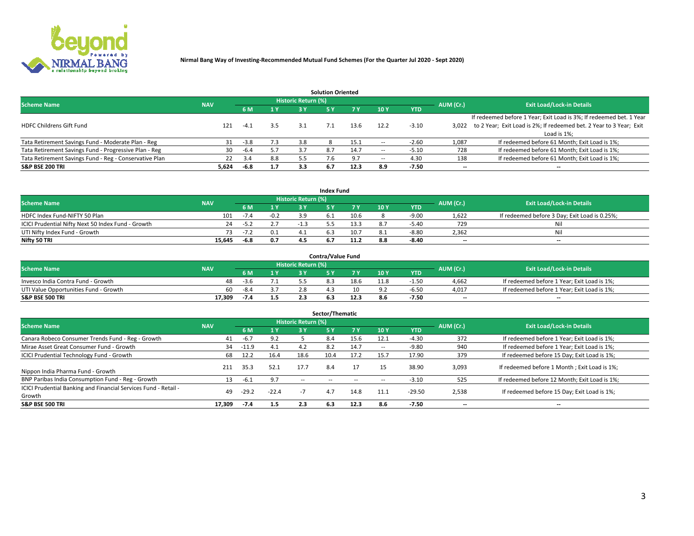

|                                                        |            |            |     |                     | <b>Solution Oriented</b> |      |                          |            |           |                                                                     |
|--------------------------------------------------------|------------|------------|-----|---------------------|--------------------------|------|--------------------------|------------|-----------|---------------------------------------------------------------------|
| <b>Scheme Name</b>                                     | <b>NAV</b> |            |     | Historic Return (%) |                          |      |                          |            | AUM (Cr.) | <b>Exit Load/Lock-in Details</b>                                    |
|                                                        |            | <b>6 M</b> | 1 Y | 2 V                 |                          |      | 10 Y                     | <b>YTD</b> |           |                                                                     |
|                                                        |            |            |     |                     |                          |      |                          |            |           | If redeemed before 1 Year; Exit Load is 3%; If redeemed bet. 1 Year |
| <b>HDFC Childrens Gift Fund</b>                        | 121        | $-4.1$     | 3.5 |                     |                          | 13.6 | 12.2                     | $-3.10$    | 3.022     | to 2 Year; Exit Load is 2%; If redeemed bet. 2 Year to 3 Year; Exit |
|                                                        |            |            |     |                     |                          |      |                          |            |           | Load is 1%;                                                         |
| Tata Retirement Savings Fund - Moderate Plan - Reg     | 31         | $-3.8$     | 7.3 | 3.8                 |                          | 15.1 | $\sim$                   | $-2.60$    | 1,087     | If redeemed before 61 Month; Exit Load is 1%;                       |
| Tata Retirement Savings Fund - Progressive Plan - Reg  | 30         | $-6.4$     | 5.7 | 3.7                 | 8.7                      | 14.7 | $\overline{\phantom{a}}$ | $-5.10$    | 728       | If redeemed before 61 Month; Exit Load is 1%;                       |
| Tata Retirement Savings Fund - Reg - Conservative Plan | 22         | 3.4        | 8.8 |                     |                          |      | $\overline{\phantom{a}}$ | 4.30       | 138       | If redeemed before 61 Month; Exit Load is 1%;                       |
| S&P BSE 200 TRI                                        | 5,624      | $-6.8$     | 1.7 | 3.3                 | 6.7                      | 12.3 | 8.9                      | $-7.50$    | --        | --                                                                  |

|                                                    |            |        |        |                     | <b>Index Fund</b> |      |      |            |                          |                                               |
|----------------------------------------------------|------------|--------|--------|---------------------|-------------------|------|------|------------|--------------------------|-----------------------------------------------|
| <b>Scheme Name</b>                                 | <b>NAV</b> |        |        | Historic Return (%) |                   |      |      |            | AUM (Cr.)                | <b>Exit Load/Lock-in Details</b>              |
|                                                    |            | 6 M    | 1 Y    |                     |                   |      | 10 Y | <b>YTD</b> |                          |                                               |
| HDFC Index Fund-NIFTY 50 Plan                      | 101        | $-7.4$ | $-0.2$ |                     |                   | 10.6 |      | $-9.00$    | 1,622                    | If redeemed before 3 Day; Exit Load is 0.25%; |
| ICICI Prudential Nifty Next 50 Index Fund - Growth | 24         | $-5.2$ |        |                     |                   | 13.3 |      | $-5.40$    | 729                      |                                               |
| UTI Nifty Index Fund - Growth                      |            | -7.2   | 0.1    |                     |                   | 10.7 | 8.1  | $-8.80$    | 2,362                    | Nil                                           |
| Nifty 50 TRI                                       | 15.645     | -6.8   | 0.7    | 4.5                 | 6.7               | 11.2 | 8.8  | $-8.40$    | $\overline{\phantom{a}}$ | $- -$                                         |

|                                       |            |        |     |                            | <b>Contra/Value Fund</b> |      |      |            |                          |                                             |
|---------------------------------------|------------|--------|-----|----------------------------|--------------------------|------|------|------------|--------------------------|---------------------------------------------|
| <b>Scheme Name</b>                    | <b>NAV</b> |        |     | <b>Historic Return (%)</b> |                          |      |      |            | AUM (Cr.)                | <b>Exit Load/Lock-in Details</b>            |
|                                       |            |        | 1 Y |                            |                          | 7 Y  | 10Y  | <b>YTD</b> |                          |                                             |
| Invesco India Contra Fund - Growth    | 48         | -3.6   |     |                            |                          | 18.6 | 11.8 | $-1.5C$    | 4,662                    | If redeemed before 1 Year; Exit Load is 1%; |
| UTI Value Opportunities Fund - Growth | 60.        | $-8.4$ |     |                            |                          |      |      | $-6.5c$    | 4,017                    | If redeemed before 1 Year: Exit Load is 1%: |
| <b>S&amp;P BSE 500 TRI</b>            | 17.309     | -7.4   | 1.5 |                            |                          | 12.3 |      | -7.50      | $\overline{\phantom{a}}$ | $- -$                                       |

| Sector/Thematic                                                           |            |         |                |                            |           |           |                          |            |           |                                               |  |  |  |
|---------------------------------------------------------------------------|------------|---------|----------------|----------------------------|-----------|-----------|--------------------------|------------|-----------|-----------------------------------------------|--|--|--|
| <b>Scheme Name</b>                                                        | <b>NAV</b> |         |                | <b>Historic Return (%)</b> |           |           |                          |            | AUM (Cr.) | <b>Exit Load/Lock-in Details</b>              |  |  |  |
|                                                                           |            | 6 M     | 1 <sub>Y</sub> | 3 Y                        | <b>5Y</b> | <b>7Y</b> | 10Y                      | <b>YTD</b> |           |                                               |  |  |  |
| Canara Robeco Consumer Trends Fund - Reg - Growth                         | 41         | $-6.7$  | 9.2            |                            | 8.4       | 15.6      | 12.1                     | $-4.30$    | 372       | If redeemed before 1 Year; Exit Load is 1%;   |  |  |  |
| Mirae Asset Great Consumer Fund - Growth                                  | 34         | $-11.9$ | 4.1            | 4.2                        |           | 14.7      | $\overline{\phantom{a}}$ | $-9.80$    | 940       | If redeemed before 1 Year; Exit Load is 1%;   |  |  |  |
| <b>ICICI Prudential Technology Fund - Growth</b>                          | 68         | 12.2    | 16.4           | 18.6                       | 10.4      | 17.2      | 15.7                     | 17.90      | 379       | If redeemed before 15 Day; Exit Load is 1%;   |  |  |  |
| Nippon India Pharma Fund - Growth                                         | 211        | 35.3    | 52.1           | 17.7                       | 8.4       | 17        |                          | 38.90      | 3,093     | If redeemed before 1 Month; Exit Load is 1%;  |  |  |  |
| BNP Paribas India Consumption Fund - Reg - Growth                         | 13         | $-6.1$  | 9.7            | --                         |           |           | -                        | $-3.10$    | 525       | If redeemed before 12 Month; Exit Load is 1%; |  |  |  |
| ICICI Prudential Banking and Financial Services Fund - Retail -<br>Growth | 49         | $-29.2$ | $-22.4$        | -7                         |           | 14.8      | 11.1                     | $-29.50$   | 2,538     | If redeemed before 15 Day; Exit Load is 1%;   |  |  |  |
| <b>S&amp;P BSE 500 TRI</b>                                                | 17.309     | $-7.4$  | 1.5            | 2.3                        | 6.3       | 12.3      | 8.6                      | $-7.50$    |           | --                                            |  |  |  |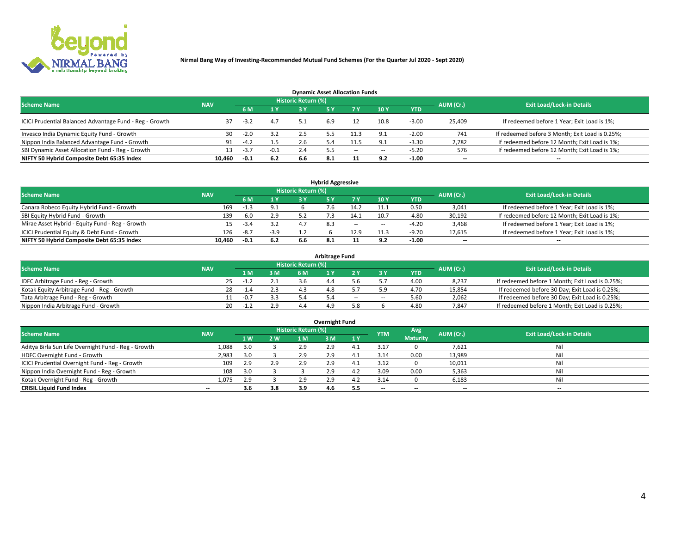

| <b>Dynamic Asset Allocation Funds</b>                   |            |        |        |                            |     |        |          |            |                          |                                                 |  |  |  |  |
|---------------------------------------------------------|------------|--------|--------|----------------------------|-----|--------|----------|------------|--------------------------|-------------------------------------------------|--|--|--|--|
| <b>Scheme Name</b>                                      | <b>NAV</b> |        |        | <b>Historic Return (%)</b> |     |        |          |            | AUM (Cr.)                | <b>Exit Load/Lock-in Details</b>                |  |  |  |  |
|                                                         |            |        | 1 Y    | 73 V                       |     |        | 10Y      | <b>YTD</b> |                          |                                                 |  |  |  |  |
| ICICI Prudential Balanced Advantage Fund - Reg - Growth |            | $-3.2$ | 4.7    |                            | 6.9 |        | 10.8     | $-3.00$    | 25,409                   | If redeemed before 1 Year; Exit Load is 1%;     |  |  |  |  |
| Invesco India Dynamic Equity Fund - Growth              | 30         | $-2.0$ | 3.2    | 2.5                        |     | 11.3   | $\Omega$ | $-2.00$    | 741                      | If redeemed before 3 Month; Exit Load is 0.25%; |  |  |  |  |
| Nippon India Balanced Advantage Fund - Growth           | 91         | $-4.2$ | 1.5    |                            |     | 11.5   |          | $-3.30$    | 2,782                    | If redeemed before 12 Month; Exit Load is 1%;   |  |  |  |  |
| SBI Dynamic Asset Allocation Fund - Reg - Growth        |            | $-3.7$ | $-0.1$ | 2.4                        |     | $\sim$ | $\sim$   | -5.20      | 576                      | If redeemed before 12 Month; Exit Load is 1%;   |  |  |  |  |
| NIFTY 50 Hybrid Composite Debt 65:35 Index              | 10.460     | $-0.1$ | 6.2    | 6.6                        |     |        | 9.2      | $-1.00$    | $\overline{\phantom{a}}$ | $- -$                                           |  |  |  |  |

| <b>Hybrid Aggressive</b>                        |            |        |                           |                            |  |            |            |            |           |                                               |  |  |  |  |
|-------------------------------------------------|------------|--------|---------------------------|----------------------------|--|------------|------------|------------|-----------|-----------------------------------------------|--|--|--|--|
| <b>Scheme Name</b>                              | <b>NAV</b> |        |                           | <b>Historic Return (%)</b> |  |            |            |            | AUM (Cr.) | <b>Exit Load/Lock-in Details</b>              |  |  |  |  |
|                                                 |            |        | $\mathbf{A}$ $\mathbf{V}$ | 2 V                        |  |            | <b>10Y</b> | <b>YTD</b> |           |                                               |  |  |  |  |
| Canara Robeco Equity Hybrid Fund - Growth       | 169        | $-1.3$ |                           |                            |  |            |            | 0.50       | 3,041     | If redeemed before 1 Year; Exit Load is 1%;   |  |  |  |  |
| SBI Equity Hybrid Fund - Growth                 | 139        | $-6.0$ | 2.9                       |                            |  | 14.1       | 10.7       | $-4.80$    | 30,192    | If redeemed before 12 Month; Exit Load is 1%; |  |  |  |  |
| Mirae Asset Hybrid - Equity Fund - Reg - Growth | 15         | $-3.4$ |                           |                            |  | $\sim$ $-$ | $\sim$     | $-4.20$    | 3,468     | If redeemed before 1 Year; Exit Load is 1%;   |  |  |  |  |
| ICICI Prudential Equity & Debt Fund - Growth    | 126        | $-8.7$ | $-3.9$                    |                            |  | 12.9       |            | $-9.70$    | 17,615    | If redeemed before 1 Year; Exit Load is 1%;   |  |  |  |  |
| NIFTY 50 Hybrid Composite Debt 65:35 Index      | 10.460     | $-0.1$ | 6.2                       |                            |  |            |            | $-1.00$    | --        | $- -$                                         |  |  |  |  |

| <b>Arbitrage Fund</b>                      |            |        |     |                     |  |       |     |            |           |                                                 |  |  |  |  |
|--------------------------------------------|------------|--------|-----|---------------------|--|-------|-----|------------|-----------|-------------------------------------------------|--|--|--|--|
| <b>Scheme Name</b>                         | <b>NAV</b> |        |     | Historic Return (%) |  |       |     |            | AUM (Cr.) | <b>Exit Load/Lock-in Details</b>                |  |  |  |  |
|                                            |            | 1 M.   | 3 M | 6 M                 |  |       |     | <b>YTD</b> |           |                                                 |  |  |  |  |
| IDFC Arbitrage Fund - Reg - Growth         |            |        |     |                     |  |       |     | 4.00       | 8,237     | If redeemed before 1 Month; Exit Load is 0.25%; |  |  |  |  |
| Kotak Equity Arbitrage Fund - Reg - Growth | 28         | $-1.4$ |     |                     |  |       |     | 4.70       | 15,854    | If redeemed before 30 Day; Exit Load is 0.25%;  |  |  |  |  |
| Tata Arbitrage Fund - Reg - Growth         |            | $-0.7$ |     |                     |  | $- -$ | $-$ | 5.60       | 2,062     | If redeemed before 30 Day; Exit Load is 0.25%;  |  |  |  |  |
| Nippon India Arbitrage Fund - Growth       | 20         |        |     |                     |  |       |     | 4.80       | 7,847     | If redeemed before 1 Month; Exit Load is 0.25%; |  |  |  |  |

| Overnight Fund                                      |            |     |     |                            |     |     |            |                 |                          |                                  |  |  |  |  |
|-----------------------------------------------------|------------|-----|-----|----------------------------|-----|-----|------------|-----------------|--------------------------|----------------------------------|--|--|--|--|
| <b>Scheme Name</b>                                  | <b>NAV</b> |     |     | <b>Historic Return (%)</b> |     |     | <b>YTM</b> | Avg             | AUM (Cr.)                | <b>Exit Load/Lock-in Details</b> |  |  |  |  |
|                                                     |            | 1 W | 2 W | 1 M.                       | 3 M | 1Y  |            | <b>Maturity</b> |                          |                                  |  |  |  |  |
| Aditya Birla Sun Life Overnight Fund - Reg - Growth | 1,088      |     |     | 2.9                        | 2.9 | 4   | 3.17       |                 | 7,621                    | Nil                              |  |  |  |  |
| HDFC Overnight Fund - Growth                        | 2,983      |     |     | 2.9                        | 2.9 |     | 3.14       | 0.00            | 13,989                   | Nil                              |  |  |  |  |
| ICICI Prudential Overnight Fund - Reg - Growth      | 109        | 2.9 | 2.9 | 2.9                        | 2.9 |     | 3.12       |                 | 10,011                   | Nil                              |  |  |  |  |
| Nippon India Overnight Fund - Reg - Growth          | 108        |     |     |                            | 2.9 | 4.Z | 3.09       | 0.00            | 5,363                    | Nil                              |  |  |  |  |
| Kotak Overnight Fund - Reg - Growth                 | 1,075      | 2.9 |     | 2.9                        | 2.9 | 4.Z | 3.14       |                 | 6,183                    | Nil                              |  |  |  |  |
| <b>CRISIL Liquid Fund Index</b>                     | $- -$      | 3.6 | 3.8 | 3.9                        | 4.6 | 5.5 | --         | --              | $\overline{\phantom{a}}$ | --                               |  |  |  |  |

#### **Overnight Fund**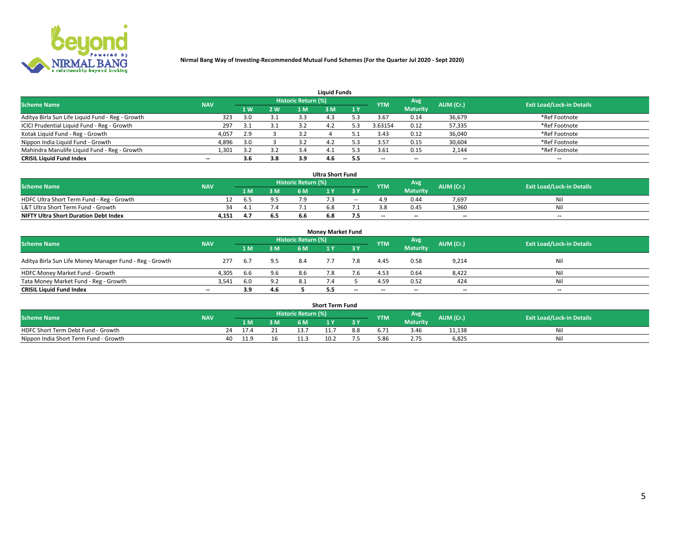

|                                                  |            |     |     |                            | <b>Liquid Funds</b> |     |                          |                 |                          |                                  |
|--------------------------------------------------|------------|-----|-----|----------------------------|---------------------|-----|--------------------------|-----------------|--------------------------|----------------------------------|
| <b>Scheme Name</b>                               | <b>NAV</b> |     |     | <b>Historic Return (%)</b> |                     |     | <b>YTM</b>               | Avg             | AUM (Cr.)                | <b>Exit Load/Lock-in Details</b> |
|                                                  |            | 1 W | 2 W | 1 M                        | : M                 | 1Y  |                          | <b>Maturity</b> |                          |                                  |
| Aditya Birla Sun Life Liquid Fund - Reg - Growth | 323        | 3.0 | 3.1 | 3.3                        |                     |     | 3.67                     | 0.14            | 36,679                   | *Ref Footnote                    |
| ICICI Prudential Liquid Fund - Reg - Growth      | 297        | 3.1 | 3.1 |                            |                     |     | 3.63154                  | 0.12            | 57,335                   | *Ref Footnote                    |
| Kotak Liquid Fund - Reg - Growth                 | 4,057      | 2.9 |     |                            |                     |     | 3.43                     | 0.12            | 36,040                   | *Ref Footnote                    |
| Nippon India Liquid Fund - Growth                | 4,896      | 3.0 |     | 3.Z                        |                     |     | 3.57                     | 0.15            | 30,604                   | *Ref Footnote                    |
| Mahindra Manulife Liquid Fund - Reg - Growth     | 1,301      |     | 3.2 |                            | 4.                  |     | 3.61                     | 0.15            | 2,144                    | *Ref Footnote                    |
| <b>CRISIL Liquid Fund Index</b>                  | $- -$      | 3.6 | 3.8 | 3.9                        | 4.b                 | 5.5 | $\overline{\phantom{a}}$ | $- -$           | $\overline{\phantom{a}}$ | $\overline{\phantom{m}}$         |

| <b>Ultra Short Fund</b>                      |            |      |              |                            |     |       |            |                 |                          |                                  |  |  |  |
|----------------------------------------------|------------|------|--------------|----------------------------|-----|-------|------------|-----------------|--------------------------|----------------------------------|--|--|--|
| <b>Scheme Name</b>                           | <b>NAV</b> |      |              | <b>Historic Return (%)</b> |     |       | <b>YTM</b> | Avg             | AUM (Cr.)                | <b>Exit Load/Lock-in Details</b> |  |  |  |
|                                              |            | 1 M. | 3 M          | 6 M                        |     | 8 Y   |            | <b>Maturity</b> |                          |                                  |  |  |  |
| HDFC Ultra Short Term Fund - Reg - Growth    |            | b.5  |              |                            |     | $- -$ |            | 0.44            | 7,697                    | Νı                               |  |  |  |
| L&T Ultra Short Term Fund - Growth           | 34         |      | $\lambda$ .4 |                            |     |       |            | 0.45            | 1.960                    | Νi                               |  |  |  |
| <b>NIFTY Ultra Short Duration Debt Index</b> | 4,151      |      | 6.5          | b.b                        | 6.8 |       | $-$        | $- -$           | $\overline{\phantom{a}}$ | $-$                              |  |  |  |

| <b>Money Market Fund</b>                                |                          |       |     |                     |  |       |                          |                 |                          |                                  |  |  |  |  |
|---------------------------------------------------------|--------------------------|-------|-----|---------------------|--|-------|--------------------------|-----------------|--------------------------|----------------------------------|--|--|--|--|
| <b>Scheme Name</b>                                      | <b>NAV</b>               |       |     | Historic Return (%) |  |       | <b>YTM</b>               | Avg             | AUM (Cr.)                | <b>Exit Load/Lock-in Details</b> |  |  |  |  |
|                                                         |                          | 1 M   | 3 M | 6 M                 |  | 3 Y   |                          | <b>Maturity</b> |                          |                                  |  |  |  |  |
| Aditya Birla Sun Life Money Manager Fund - Reg - Growth | 277                      | - 6.7 | 9.5 | 8.4                 |  | 7.8   | 4.45                     | 0.58            | 9,214                    | Nil                              |  |  |  |  |
| HDFC Money Market Fund - Growth                         | 4.305                    | 6.6   | 9.6 | 8.6                 |  |       | 4.53                     | 0.64            | 8,422                    | Nil                              |  |  |  |  |
| Tata Money Market Fund - Reg - Growth                   | 3,541                    | 6.0   | 9.2 | 8.1                 |  |       | 4.59                     | 0.52            | 424                      | Nil                              |  |  |  |  |
| <b>CRISIL Liquid Fund Index</b>                         | $\overline{\phantom{a}}$ | 3.9   | 4.6 |                     |  | $- -$ | $\overline{\phantom{a}}$ | $- -$           | $\overline{\phantom{a}}$ | $\overline{\phantom{a}}$         |  |  |  |  |

|                                       |            |      |        |                            | <b>Short Term Fund</b> |     |            |                 |           |                                  |
|---------------------------------------|------------|------|--------|----------------------------|------------------------|-----|------------|-----------------|-----------|----------------------------------|
| <b>Scheme Name</b>                    | <b>NAV</b> |      |        | <b>Historic Return (%)</b> |                        |     | <b>YTM</b> | Avg             | AUM (Cr.) | <b>Exit Load/Lock-in Details</b> |
|                                       |            | 1 M  | 3 M    | 6 M                        | $\mathbf{M}$           | 3 Y |            | <b>Maturity</b> |           |                                  |
| HDFC Short Term Debt Fund - Growth    | 24         | 17.4 | $\sim$ |                            |                        | 8.8 |            | 3.46            | 11,138    | Nil                              |
| Nippon India Short Term Fund - Growth | 40         | 11.9 | TP.    |                            | 10.2                   |     |            | 2.15            | 6,825     | Nil                              |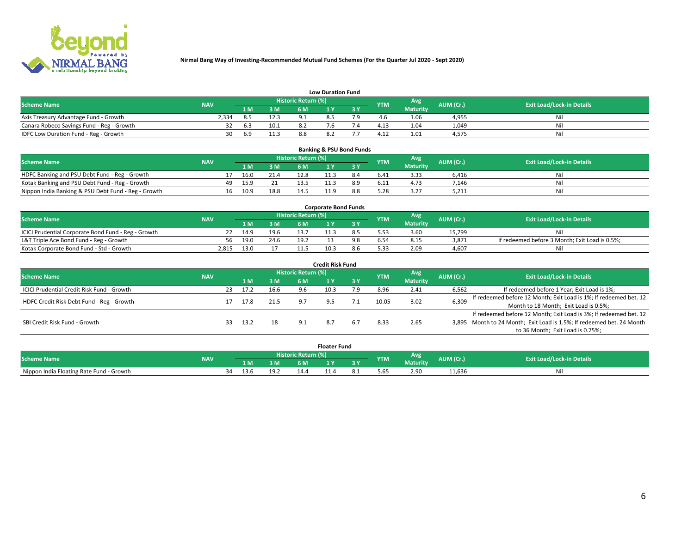

|                                           | <b>Low Duration Fund</b> |      |      |                     |     |     |                  |                 |           |                                  |  |  |  |  |  |
|-------------------------------------------|--------------------------|------|------|---------------------|-----|-----|------------------|-----------------|-----------|----------------------------------|--|--|--|--|--|
| <b>Scheme Name</b>                        | <b>NAV</b>               |      |      | Historic Return (%) |     |     | <b>YTM</b>       | Avg             | AUM (Cr.) | <b>Exit Load/Lock-in Details</b> |  |  |  |  |  |
|                                           |                          | L M. | 3 M  |                     |     | 3 Y |                  | <b>Maturity</b> |           |                                  |  |  |  |  |  |
| Axis Treasury Advantage Fund - Growth     | ?.334                    |      | 12.3 |                     | 8.5 |     |                  | 1.06            | 4,955     | Nil                              |  |  |  |  |  |
| Canara Robeco Savings Fund - Reg - Growth |                          | -6.3 | 10.1 |                     |     |     | 4.1 <sup>2</sup> | 1.04            | 1,049     | Nil                              |  |  |  |  |  |
| IDFC Low Duration Fund - Reg - Growth     | 30                       | 6.9  |      |                     | ے.8 |     | 4.17             | 1.01            | 4,575     | Nil                              |  |  |  |  |  |

| <b>Banking &amp; PSU Bond Funds</b>                 |            |    |      |      |                            |      |     |            |                 |           |                                  |  |  |  |
|-----------------------------------------------------|------------|----|------|------|----------------------------|------|-----|------------|-----------------|-----------|----------------------------------|--|--|--|
| <b>Scheme Name</b>                                  | <b>NAV</b> |    |      |      | <b>Historic Return (%)</b> |      |     | <b>YTM</b> | Avg             | AUM (Cr.) | <b>Exit Load/Lock-in Details</b> |  |  |  |
|                                                     |            |    |      | 3 M  | 6 M                        |      |     |            | <b>Maturity</b> |           |                                  |  |  |  |
| HDFC Banking and PSU Debt Fund - Reg - Growth       |            |    | 16.0 | 21.4 | 12.8                       |      |     | 6.41       | 3.33            | 6.416     | Nil                              |  |  |  |
| Kotak Banking and PSU Debt Fund - Reg - Growth      |            | 49 | 15.9 | 21   | 13.5                       | 11.3 | 8.9 | 6.11       | 4.73            | 7.146     | Nil                              |  |  |  |
| Nippon India Banking & PSU Debt Fund - Reg - Growth |            | 16 | 10.9 | 18.8 |                            |      |     | 5.28       | 3.27            | 5.211     | Ni                               |  |  |  |

| <b>Corporate Bond Funds</b>                         |            |      |      |                            |      |  |            |          |           |                                                |  |  |  |  |
|-----------------------------------------------------|------------|------|------|----------------------------|------|--|------------|----------|-----------|------------------------------------------------|--|--|--|--|
| <b>Scheme Name</b>                                  | <b>NAV</b> |      |      | <b>Historic Return (%)</b> |      |  | <b>YTM</b> | Avg      | AUM (Cr.) | <b>Exit Load/Lock-in Details</b>               |  |  |  |  |
|                                                     |            |      | 3 M  | 6 M                        |      |  |            | Maturity |           |                                                |  |  |  |  |
| ICICI Prudential Corporate Bond Fund - Reg - Growth |            | 14.9 | 19.6 |                            |      |  |            | 3.60     | 15.799    | Nil                                            |  |  |  |  |
| L&T Triple Ace Bond Fund - Reg - Growth             | 56         | 19.0 | 24.6 | 19.2                       |      |  |            | 8.15     | 3,871     | If redeemed before 3 Month; Exit Load is 0.5%; |  |  |  |  |
| Kotak Corporate Bond Fund - Std - Growth            | 2.815      | 13.0 |      |                            | 10.3 |  | 5.33       | 2.09     | 4.607     | Nil                                            |  |  |  |  |

| Credit Risk Fund                           |            |    |      |      |                            |      |           |            |                 |           |                                                                       |  |  |  |
|--------------------------------------------|------------|----|------|------|----------------------------|------|-----------|------------|-----------------|-----------|-----------------------------------------------------------------------|--|--|--|
| <b>Scheme Name</b>                         | <b>NAV</b> |    |      |      | <b>Historic Return (%)</b> |      |           | <b>YTM</b> | Avg             | AUM (Cr.) | <b>Exit Load/Lock-in Details</b>                                      |  |  |  |
|                                            |            |    | 1 M  | 3 M  | 6 M                        |      | <b>3Y</b> |            | <b>Maturity</b> |           |                                                                       |  |  |  |
| ICICI Prudential Credit Risk Fund - Growth |            | 23 | 17.2 | 16.6 | 9.6                        | 10.3 | 7.9       | 8.96       | 2.41            | 6,562     | If redeemed before 1 Year; Exit Load is 1%;                           |  |  |  |
| HDFC Credit Risk Debt Fund - Reg - Growth  |            |    | 17.8 | 21.5 | . G                        |      |           | 10.05      | 3.02            | 6,309     | If redeemed before 12 Month; Exit Load is 1%; If redeemed bet. 12     |  |  |  |
|                                            |            |    |      |      |                            |      |           |            |                 |           | Month to 18 Month; Exit Load is 0.5%;                                 |  |  |  |
|                                            |            |    |      |      |                            |      |           |            |                 |           | If redeemed before 12 Month; Exit Load is 3%; If redeemed bet. 12     |  |  |  |
| SBI Credit Risk Fund - Growth              |            |    | 13.2 | 18   | 9.1                        |      |           | 8.33       | 2.65            |           | 3,895 Month to 24 Month; Exit Load is 1.5%; If redeemed bet. 24 Month |  |  |  |
|                                            |            |    |      |      |                            |      |           |            |                 |           | to 36 Month; Exit Load is 0.75%;                                      |  |  |  |

| <b>Floater Fund</b>                      |            |    |      |      |                            |     |     |            |                 |           |                                  |
|------------------------------------------|------------|----|------|------|----------------------------|-----|-----|------------|-----------------|-----------|----------------------------------|
| <b>Scheme Name</b>                       | <b>NAV</b> |    |      |      | <b>Historic Return (%)</b> |     |     | <b>YTM</b> | Avg             | AUM (Cr.) | <b>Exit Load/Lock-in Details</b> |
|                                          |            |    | 1 M  | 3 M  | 6 M'                       | i v | эv  |            | <b>Maturity</b> |           |                                  |
| Nippon India Floating Rate Fund - Growth |            | 34 | 13.6 | 19.2 | ،14                        | --- | ٥.⊥ | 5.65       | 2.90            | 11,636    | Νı                               |